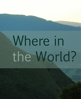## Where in the World?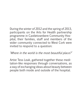During the winter of 2012 and the spring of 2013, participants on the Arts for Health partnership programme in Castletownbere Community Hospital, their families, staff and members of the wider community connected to West Cork were invited to respond to a question:

## 'Where in the world is the most beautiful place?'

Artist Tess Leak, gathered together these meditation-like responses through conversations, as a way of exchanging ideas about beauty between people both inside and outside of the hospital.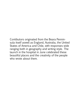Contibutors originated from the Beara Penninsula itself aswell as England, Australia, the United States of America and Chile, with responses wide ranging both in geography and writing style. The launch in the hospital in June celebrated these beautiful places and the creativity of the people who wrote about them.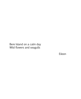Bere Island on a calm day Wild flowers and seagulls

Eileen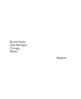By the frozen Lake Michigan, Chicago, Winter

Stephen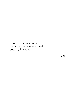Coomerkane of course! Because that is where I met Joe, my husband.

Mary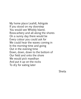My home place Leahill, Adrigole If you stood on my doorstep You would see Whiddy Island, Rosscarbery and all along the shores On a sunny day there would be Every colour you could ask for We could hear the waves coming in In the morning-time and going Out in the evening-time Down, down, down to the bottom of Our field and onto the shore We would pick maedhan And put it up on the rocks To dry for eating later

Sheila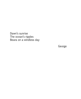Dawn's sunrise The ocean's ripples Beara on a windless day

George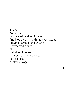It is here And it is also there Corners still waiting for me And I look around with the eyes closed Autumn leaves in the twilight Unexpected smiles **Wind** Melodies. Forever in the company with the sea Sun echoes A letter voyage

Sol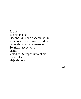Es aquí Es ahi tambien Rincones que aun esperan por mi Y recorro con los ojos cerrados Hojas de otono al amanecer Sonrisas inesperadas Viento Melodias. Siempre junto al mar Ecos del sol Viaje de letras

Sol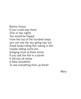Bantry house: If you could stay there One or two nights You would be happy! From the top of the hundred steps you can see the sea going way out Small boats killing fish, taking in fish maybe selling some but bringing most of them home If you salt the fish in a barrel It will last all winter It feels wonderful To see everything from up there!

Mary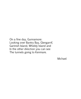On a fine day, Gunnamore: Looking over Bantry Bay, Glengarrif, Garinish Island, Whiddy Island and In the other direction you can see The tunnels going to Kenmare.

Michael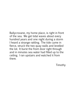Ballycrovane, my home place, is right in front of the sea. We get tidal waves about every hundred years and one night during a storm I heard a strange rattling. The tide came in fierce, struck the two quay walls and levelled the lot. It burst the front door right through and in minutes sea water had filled up to the ceiling. I ran upstairs and watched it from there.

Timothy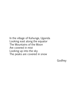In the village of Kahunge, Uganda Looking east along the equator The Mountains of the Moon Are covered in mist Looking up into the sky The peaks are covered in snow

Godfrey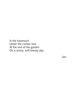In the hammock Under the conker tree At the end of the garden On a sunny, soft-breezy day

Jan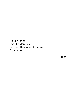Clouds lifting Over Golden Bay On the other side of the world From here

**Tess**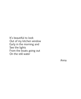It's beautiful to look Out of my kitchen window Early in the morning and See the lights From the boats going out On the still water

Anna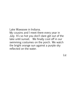Lake Wawasee in Indiana. My cousins and I meet there every year in July. It's so hot you don't dare get out of the lake until sunset. We finally cool off in our swimming costumes on the porch. We watch the bright orange sun against a purple sky reflected on the water.

Liz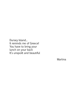Dursey Island... It reminds me of Greece! You have to bring your lunch on your back It's unspoilt and beautiful

Martina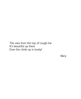The view from the top of Lough Ine It's beautiful up there Even the climb up is lovely!

Mary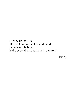Sydney Harbour is The best harbour in the world and Berehaven Harbour Is the second best harbour in the world.

Paddy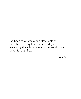I've been to Australia and New Zealand and I have to say that when the days are sunny there is nowhere in the world more beautiful than Beara

Colleen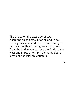The bridge on the east side of town where the ships come in for oil and to sell herring, mackerel and cod before leaving the harbour mouth and going back out to sea. From the bridge you can see the fields to the west and in March or April the hardy Scotch lambs on the Miskish Mountain.

Tim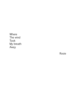Where The wind Took My breath Away

Rosie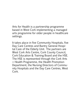Arts for Health is a partnership programme based in West Cork implementing a managed arts programme for older people in healthcare settings.

It takes place in five Community Hospitals, five Day Care Centres and Bantry General Hospital Care of the Elderly Unit. The partners are West Cork Arts Centre, Cork County Council, Cork Education & Training Board and the HSE. The HSE is represented through the Cork Arts + Health Programme, the Health Promotion Department, the Nursing Directors of Community Hospitals and the Day Care Centres, West Cork.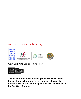## Arts for Health Partnership



## **West Cork Arts Centre is funded by**



**The Arts for Health partnership gratefully acknowledges the local support towards the programme with special thanks to West Cork Older Peoples Network and Friends of the Day Care Centres.**